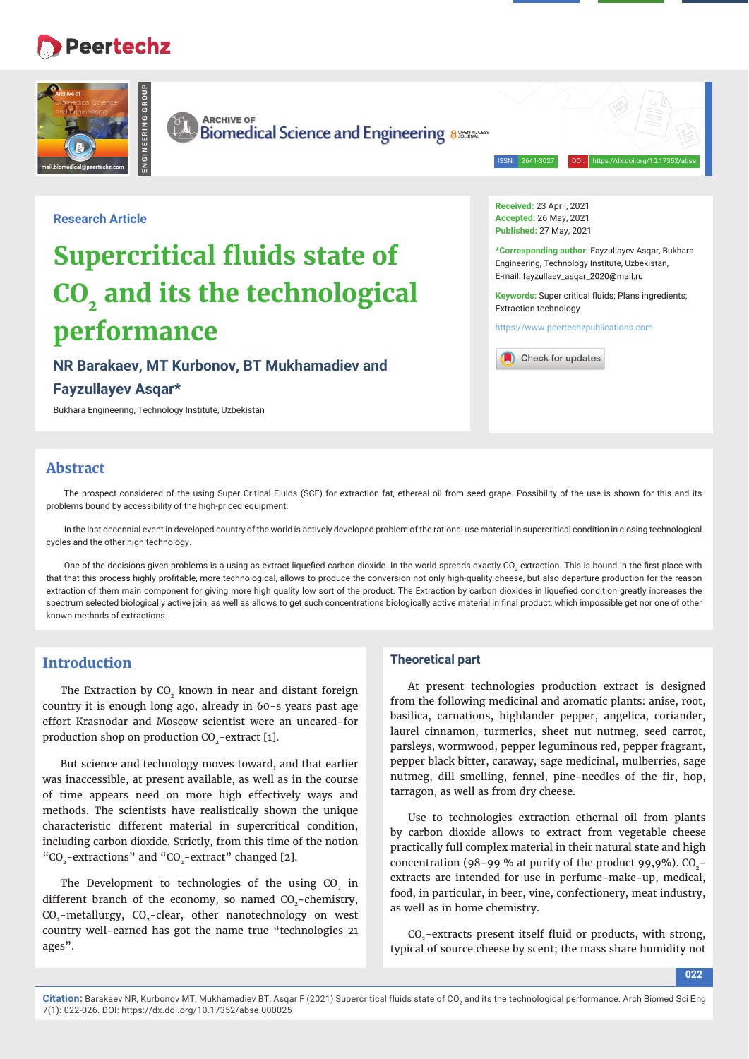# **Peertechz**



**ARCHIVE OF** 

**ENGINEERING GROUP**

**Biomedical Science and Engineering assentional Property** 

ISSN: 2641-3027 DOI: https://dx.doi.org/10.17352/abse

**Research Article**

# **Supercritical fluids state of CO<sub>2</sub>** and its the technological **performance**

**NR Barakaev, MT Kurbonov, BT Mukhamadiev and Fayzullayev Asqar\***

Bukhara Engineering, Technology Institute, Uzbekistan

**Received:** 23 April, 2021 **Accepted:** 26 May, 2021 **Published:** 27 May, 2021

**\*Corresponding author:** Fayzullayev Asqar, Bukhara Engineering, Technology Institute, Uzbekistan, E-mail: fayzullaev\_asqar\_2020@mail.ru

Keywords: Super critical fluids; Plans ingredients; Extraction technology

https://www.peertechzpublications.com



# **Abstract**

The prospect considered of the using Super Critical Fluids (SCF) for extraction fat, ethereal oil from seed grape. Possibility of the use is shown for this and its problems bound by accessibility of the high-priced equipment.

In the last decennial event in developed country of the world is actively developed problem of the rational use material in supercritical condition in closing technological cycles and the other high technology.

One of the decisions given problems is a using as extract liquefied carbon dioxide. In the world spreads exactly CO<sub>2</sub> extraction. This is bound in the first place with that that this process highly profitable, more technological, allows to produce the conversion not only high-quality cheese, but also departure production for the reason extraction of them main component for giving more high quality low sort of the product. The Extraction by carbon dioxides in liquefied condition greatly increases the spectrum selected biologically active join, as well as allows to get such concentrations biologically active material in final product, which impossible get nor one of other known methods of extractions.

## **Introduction**

The Extraction by CO<sub>2</sub> known in near and distant foreign country it is enough long ago, already in 60-s years past age effort Krasnodar and Moscow scientist were an uncared-for production shop on production CO<sub>2</sub>-extract [1].

But science and technology moves toward, and that earlier was inaccessible, at present available, as well as in the course of time appears need on more high effectively ways and methods. The scientists have realistically shown the unique characteristic different material in supercritical condition, including carbon dioxide. Strictly, from this time of the notion "CO<sub>2</sub>-extractions" and "CO<sub>2</sub>-extract" changed [2].

The Development to technologies of the using CO<sub>2</sub> in different branch of the economy, so named CO<sub>2</sub>-chemistry, CO<sub>2</sub>-metallurgy, CO<sub>2</sub>-clear, other nanotechnology on west country well-earned has got the name true "technologies 21 ages".

#### **Theoretical part**

At present technologies production extract is designed from the following medicinal and aromatic plants: anise, root, basilica, carnations, highlander pepper, angelica, coriander, laurel cinnamon, turmerics, sheet nut nutmeg, seed carrot, parsleys, wormwood, pepper leguminous red, pepper fragrant, pepper black bitter, caraway, sage medicinal, mulberries, sage nutmeg, dill smelling, fennel, pine-needles of the fir, hop, tarragon, as well as from dry cheese.

Use to technologies extraction ethernal oil from plants by carbon dioxide allows to extract from vegetable cheese practically full complex material in their natural state and high concentration (98-99 % at purity of the product 99,9%).  $CO$ extracts are intended for use in perfume-make-up, medical, food, in particular, in beer, vine, confectionery, meat industry, as well as in home chemistry.

CO<sub>2</sub>-extracts present itself fluid or products, with strong, typical of source cheese by scent; the mass share humidity not

**022**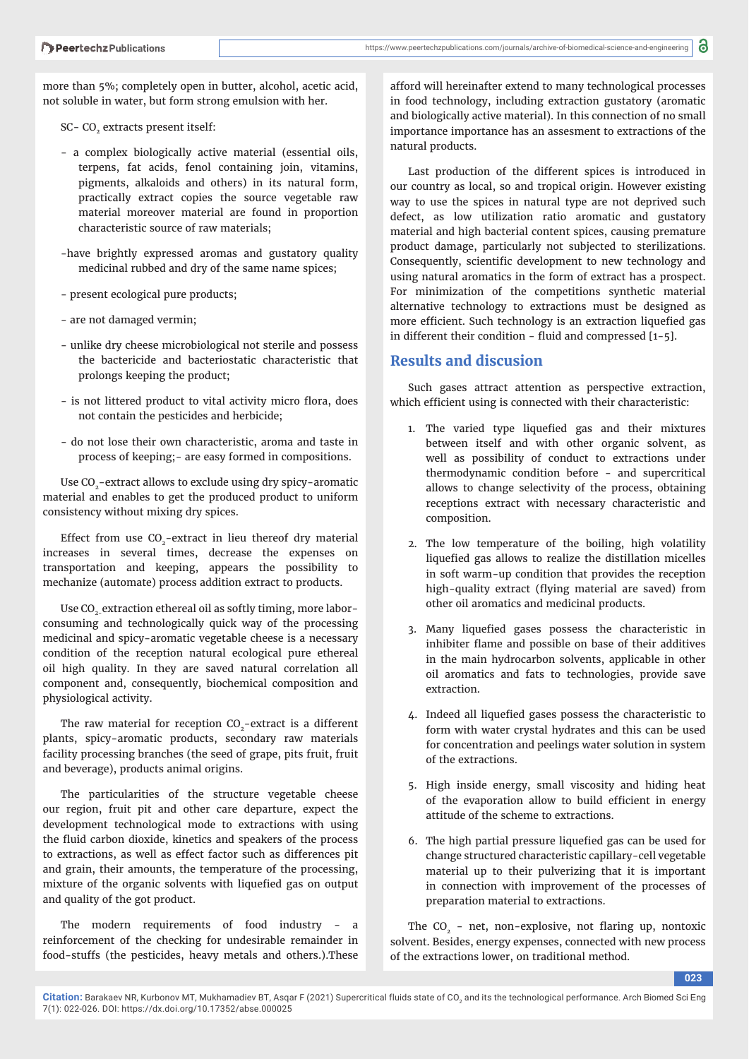more than 5%; completely open in butter, alcohol, acetic acid, not soluble in water, but form strong emulsion with her.

SC- CO<sub>2</sub> extracts present itself:

- a complex biologically active material (essential oils, terpens, fat acids, fenol containing join, vitamins, pigments, alkaloids and others) in its natural form, practically extract copies the source vegetable raw material moreover material are found in proportion characteristic source of raw materials;
- -have brightly expressed aromas and gustatory quality medicinal rubbed and dry of the same name spices;
- present ecological pure products;
- are not damaged vermin;
- unlike dry cheese microbiological not sterile and possess the bactericide and bacteriostatic characteristic that prolongs keeping the product;
- is not littered product to vital activity micro flora, does not contain the pesticides and herbicide;
- do not lose their own characteristic, aroma and taste in process of keeping;- are easy formed in compositions.

Use CO<sub>2</sub>-extract allows to exclude using dry spicy-aromatic material and enables to get the produced product to uniform consistency without mixing dry spices.

Effect from use  $CO<sub>2</sub>$ -extract in lieu thereof dry material increases in several times, decrease the expenses on transportation and keeping, appears the possibility to mechanize (automate) process addition extract to products.

Use CO<sub>2</sub>-extraction ethereal oil as softly timing, more laborconsuming and technologically quick way of the processing medicinal and spicy-aromatic vegetable cheese is a necessary condition of the reception natural ecological pure ethereal oil high quality. In they are saved natural correlation all component and, consequently, biochemical composition and physiological activity.

The raw material for reception CO<sub>2</sub>-extract is a different plants, spicy-aromatic products, secondary raw materials facility processing branches (the seed of grape, pits fruit, fruit and beverage), products animal origins.

The particularities of the structure vegetable cheese our region, fruit pit and other care departure, expect the development technological mode to extractions with using the fluid carbon dioxide, kinetics and speakers of the process to extractions, as well as effect factor such as differences pit and grain, their amounts, the temperature of the processing, mixture of the organic solvents with liquefied gas on output and quality of the got product.

The modern requirements of food industry - a reinforcement of the checking for undesirable remainder in food-stuffs (the pesticides, heavy metals and others.).These

afford will hereinafter extend to many technological processes in food technology, including extraction gustatory (aromatic and biologically active material). In this connection of no small importance importance has an assesment to extractions of the natural products.

Last production of the different spices is introduced in our country as local, so and tropical origin. However existing way to use the spices in natural type are not deprived such defect, as low utilization ratio aromatic and gustatory material and high bacterial content spices, causing premature product damage, particularly not subjected to sterilizations. Consequently, scientific development to new technology and using natural aromatics in the form of extract has a prospect. For minimization of the competitions synthetic material alternative technology to extractions must be designed as more efficient. Such technology is an extraction liquefied gas in different their condition - fluid and compressed  $[1-5]$ .

#### **Results and discusion**

Such gases attract attention as perspective extraction, which efficient using is connected with their characteristic:

- 1. The varied type liquefied gas and their mixtures between itself and with other organic solvent, as well as possibility of conduct to extractions under thermodynamic condition before - and supercritical allows to change selectivity of the process, obtaining receptions extract with necessary characteristic and composition.
- 2. The low temperature of the boiling, high volatility liquefied gas allows to realize the distillation micelles in soft warm-up condition that provides the reception high-quality extract (flying material are saved) from other oil aromatics and medicinal products.
- 3. Many liquefied gases possess the characteristic in inhibiter flame and possible on base of their additives in the main hydrocarbon solvents, applicable in other oil aromatics and fats to technologies, provide save extraction.
- 4. Indeed all liquefied gases possess the characteristic to form with water crystal hydrates and this can be used for concentration and peelings water solution in system of the extractions.
- 5. High inside energy, small viscosity and hiding heat of the evaporation allow to build efficient in energy attitude of the scheme to extractions.
- 6. The high partial pressure liquefied gas can be used for change structured characteristic capillary-cell vegetable material up to their pulverizing that it is important in connection with improvement of the processes of preparation material to extractions.

The  $CO<sub>2</sub>$  - net, non-explosive, not flaring up, nontoxic solvent. Besides, energy expenses, connected with new process of the extractions lower, on traditional method.

**023**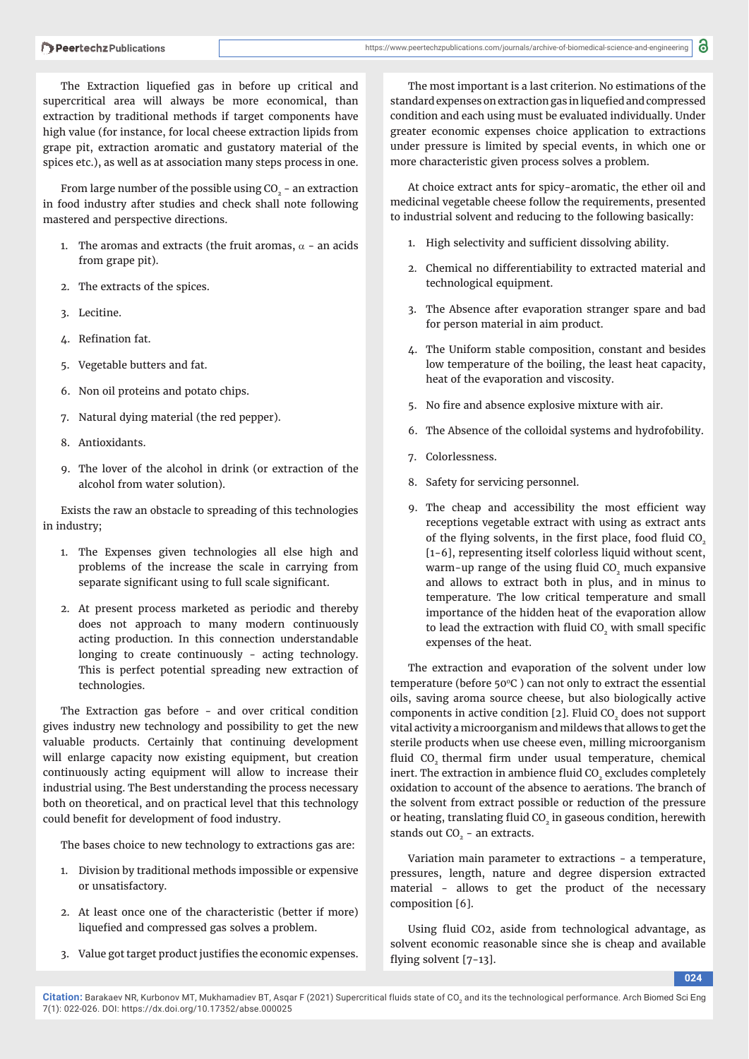The Extraction liquefied gas in before up critical and supercritical area will always be more economical, than extraction by traditional methods if target components have high value (for instance, for local cheese extraction lipids from grape pit, extraction aromatic and gustatory material of the spices etc.), as well as at association many steps process in one.

From large number of the possible using  $CO<sub>2</sub>$  - an extraction in food industry after studies and check shall note following mastered and perspective directions.

- 1. The aromas and extracts (the fruit aromas,  $\alpha$  an acids from grape pit).
- 2. The extracts of the spices.
- 3. Lecitine.
- 4. Refination fat.
- 5. Vegetable butters and fat.
- 6. Non oil proteins and potato chips.
- 7. Natural dying material (the red pepper).
- 8. Antioxidants.
- 9. The lover of the alcohol in drink (or extraction of the alcohol from water solution).

Exists the raw an obstacle to spreading of this technologies in industry;

- 1. The Expenses given technologies all else high and problems of the increase the scale in carrying from separate significant using to full scale significant.
- 2. At present process marketed as periodic and thereby does not approach to many modern continuously acting production. In this connection understandable longing to create continuously - acting technology. This is perfect potential spreading new extraction of technologies.

The Extraction gas before - and over critical condition gives industry new technology and possibility to get the new valuable products. Certainly that continuing development will enlarge capacity now existing equipment, but creation continuously acting equipment will allow to increase their industrial using. The Best understanding the process necessary both on theoretical, and on practical level that this technology could benefit for development of food industry.

The bases choice to new technology to extractions gas are:

- 1. Division by traditional methods impossible or expensive or unsatisfactory.
- 2. At least once one of the characteristic (better if more) liquefied and compressed gas solves a problem.
- 3. Value got target product justifies the economic expenses.

The most important is a last criterion. No estimations of the standard expenses on extraction gas in liquefied and compressed condition and each using must be evaluated individually. Under greater economic expenses choice application to extractions under pressure is limited by special events, in which one or more characteristic given process solves a problem.

At choice extract ants for spicy-aromatic, the ether oil and medicinal vegetable cheese follow the requirements, presented to industrial solvent and reducing to the following basically:

- 1. High selectivity and sufficient dissolving ability.
- 2. Chemical no differentiability to extracted material and technological equipment.
- 3. The Absence after evaporation stranger spare and bad for person material in aim product.
- 4. The Uniform stable composition, constant and besides low temperature of the boiling, the least heat capacity, heat of the evaporation and viscosity.
- 5. No fire and absence explosive mixture with air.
- 6. The Absence of the colloidal systems and hydrofobility.
- 7. Colorlessness.
- 8. Safety for servicing personnel.
- 9. The cheap and accessibility the most efficient way receptions vegetable extract with using as extract ants of the flying solvents, in the first place, food fluid CO<sub>2</sub> [1-6], representing itself colorless liquid without scent, warm-up range of the using fluid CO<sub>2</sub> much expansive and allows to extract both in plus, and in minus to temperature. The low critical temperature and small importance of the hidden heat of the evaporation allow to lead the extraction with fluid CO<sub>2</sub> with small specific expenses of the heat.

The extraction and evaporation of the solvent under low temperature (before  $50^{\circ}$ C) can not only to extract the essential oils, saving aroma source cheese, but also biologically active components in active condition  $[2]$ . Fluid CO<sub>2</sub> does not support vital activity a microorganism and mildews that allows to get the sterile products when use cheese even, milling microorganism fluid CO<sub>2</sub> thermal firm under usual temperature, chemical inert. The extraction in ambience fluid CO<sub>2</sub> excludes completely oxidation to account of the absence to aerations. The branch of the solvent from extract possible or reduction of the pressure or heating, translating fluid CO<sub>2</sub> in gaseous condition, herewith stands out  $CO<sub>2</sub>$  - an extracts.

Variation main parameter to extractions - a temperature, pressures, length, nature and degree dispersion extracted material - allows to get the product of the necessary composition [6].

Using fluid CO2, aside from technological advantage, as solvent economic reasonable since she is cheap and available flying solvent  $[7-13]$ .

**024**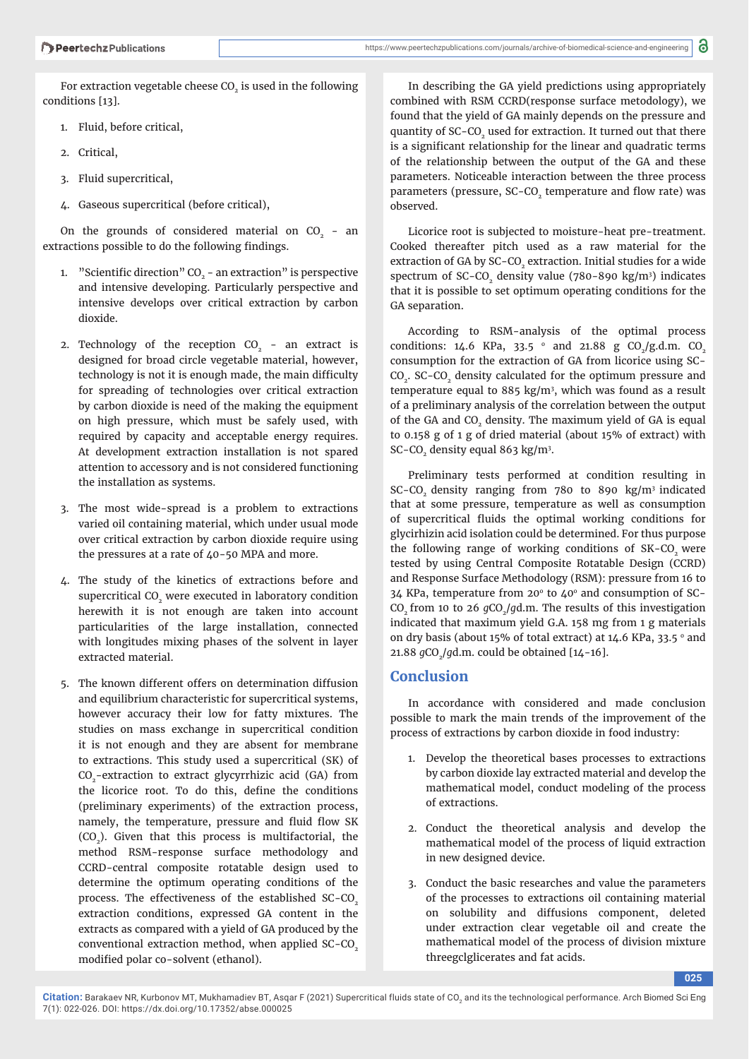For extraction vegetable cheese  $CO<sub>2</sub>$  is used in the following conditions [13].

- 1. Fluid, before critical,
- 2. Critical,
- 3. Fluid supercritical,
- 4. Gaseous supercritical (before critical),

On the grounds of considered material on  $CO<sub>2</sub>$  - an extractions possible to do the following findings.

- 1. "Scientific direction"  $CO<sub>2</sub>$  an extraction" is perspective and intensive developing. Particularly perspective and intensive develops over critical extraction by carbon dioxide.
- 2. Technology of the reception  $CO<sub>2</sub>$  an extract is designed for broad circle vegetable material, however, technology is not it is enough made, the main difficulty for spreading of technologies over critical extraction by carbon dioxide is need of the making the equipment on high pressure, which must be safely used, with required by capacity and acceptable energy requires. At development extraction installation is not spared attention to accessory and is not considered functioning the installation as systems.
- 3. The most wide-spread is a problem to extractions varied oil containing material, which under usual mode over critical extraction by carbon dioxide require using the pressures at a rate of  $40-50$  MPA and more.
- 4. The study of the kinetics of extractions before and supercritical CO<sub>2</sub> were executed in laboratory condition herewith it is not enough are taken into account particularities of the large installation, connected with longitudes mixing phases of the solvent in layer extracted material.
- 5. The known different offers on determination diffusion and equilibrium characteristic for supercritical systems, however accuracy their low for fatty mixtures. The studies on mass exchange in supercritical condition it is not enough and they are absent for membrane to extractions. This study used a supercritical (SK) of CO<sub>2</sub>-extraction to extract glycyrrhizic acid (GA) from the licorice root. To do this, define the conditions (preliminary experiments) of the extraction process, namely, the temperature, pressure and fluid flow SK (CO<sub>2</sub>). Given that this process is multifactorial, the method RSM-response surface methodology and CCRD-central composite rotatable design used to determine the optimum operating conditions of the process. The effectiveness of the established SC-CO<sub>2</sub> extraction conditions, expressed GA content in the extracts as compared with a yield of GA produced by the conventional extraction method, when applied  $SC$ - $CO<sub>2</sub>$ modified polar co-solvent (ethanol).

In describing the GA yield predictions using appropriately combined with RSM CCRD(response surface metodology), we found that the yield of GA mainly depends on the pressure and quantity of SC-CO<sub>2</sub> used for extraction. It turned out that there is a significant relationship for the linear and quadratic terms of the relationship between the output of the GA and these parameters. Noticeable interaction between the three process parameters (pressure, SC-CO<sub>2</sub> temperature and flow rate) was observed.

Licorice root is subjected to moisture-heat pre-treatment. Cooked thereafter pitch used as a raw material for the extraction of GA by SC-CO<sub>2</sub> extraction. Initial studies for a wide spectrum of  $SC-CO<sub>2</sub>$  density value (780–890 kg/m<sup>3</sup>) indicates that it is possible to set optimum operating conditions for the GA separation.

According to RSM-analysis of the optimal process conditions: 14.6 KPa, 33.5  $\degree$  and 21.88 g CO<sub>2</sub>/g.d.m. CO<sub>2</sub> consumption for the extraction of GA from licorice using SC-CO<sub>2</sub>. SC-CO<sub>2</sub> density calculated for the optimum pressure and temperature equal to 885 kg/m<sup>3</sup>, which was found as a result of a preliminary analysis of the correlation between the output of the GA and CO<sub>2</sub> density. The maximum yield of GA is equal to 0.158 g of 1 g of dried material (about 15% of extract) with  $SC$ - $CO<sub>2</sub>$  density equal 863 kg/m<sup>3</sup>.

Preliminary tests performed at condition resulting in SC-CO<sub>2</sub> density ranging from 780 to 890 kg/m<sup>3</sup> indicated that at some pressure, temperature as well as consumption of supercritical fluids the optimal working conditions for glycirhizin acid isolation could be determined. For thus purpose the following range of working conditions of SK-CO<sub>2</sub> were tested by using Central Composite Rotatable Design (CCRD) and Response Surface Methodology (RSM): pressure from 16 to  $34$  KPa, temperature from 20 $\degree$  to 40 $\degree$  and consumption of SC-CO<sub>2</sub> from 10 to 26 *g*CO<sub>2</sub>/*gd.m.* The results of this investigation indicated that maximum yield G.A. 158 mg from 1 g materials on dry basis (about 15% of total extract) at 14.6 KPa, 33.5  $^{\circ}$  and 21.88 *g*CO<sub>2</sub>/*gd.m.* could be obtained [14-16].

#### **Conclusion**

In accordance with considered and made conclusion possible to mark the main trends of the improvement of the process of extractions by carbon dioxide in food industry:

- 1. Develop the theoretical bases processes to extractions by carbon dioxide lay extracted material and develop the mathematical model, conduct modeling of the process of extractions.
- 2. Conduct the theoretical analysis and develop the mathematical model of the process of liquid extraction in new designed device.
- 3. Conduct the basic researches and value the parameters of the processes to extractions oil containing material on solubility and diffusions component, deleted under extraction clear vegetable oil and create the mathematical model of the process of division mixture threegclglicerates and fat acids.

**025**

Citation: Barakaev NR, Kurbonov MT, Mukhamadiev BT, Asqar F (2021) Supercritical fluids state of CO<sub>2</sub> and its the technological performance. Arch Biomed Sci Eng 7(1): 022-026. DOI: https://dx.doi.org/10.17352/abse.000025